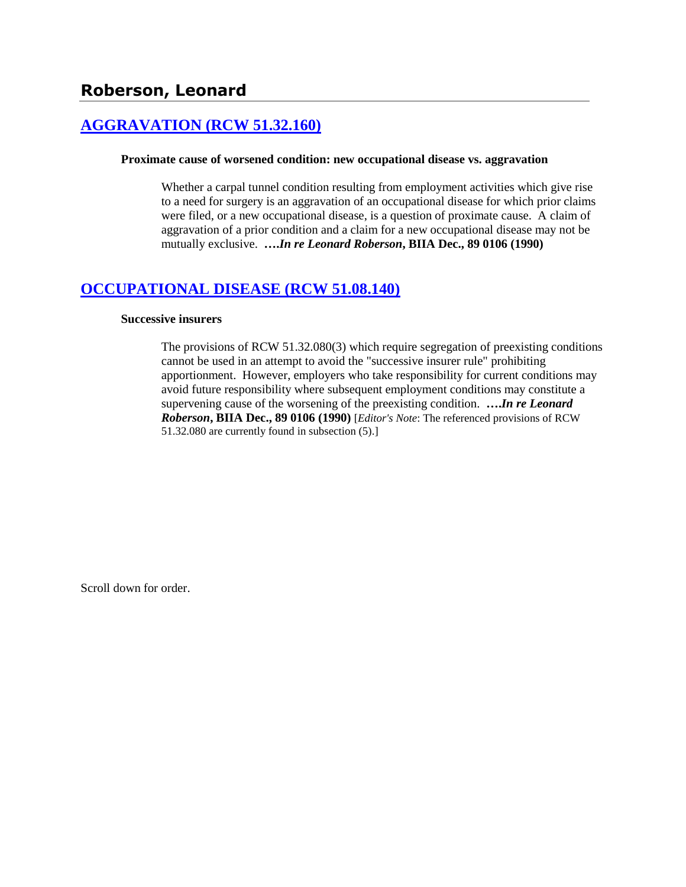# **[AGGRAVATION \(RCW 51.32.160\)](http://www.biia.wa.gov/SDSubjectIndex.html#AGGRAVATION)**

### **Proximate cause of worsened condition: new occupational disease vs. aggravation**

Whether a carpal tunnel condition resulting from employment activities which give rise to a need for surgery is an aggravation of an occupational disease for which prior claims were filed, or a new occupational disease, is a question of proximate cause. A claim of aggravation of a prior condition and a claim for a new occupational disease may not be mutually exclusive. **….***In re Leonard Roberson***, BIIA Dec., 89 0106 (1990)** 

## **[OCCUPATIONAL DISEASE \(RCW 51.08.140\)](http://www.biia.wa.gov/SDSubjectIndex.html#OCCUPATIONAL_DISEASE)**

### **Successive insurers**

The provisions of RCW 51.32.080(3) which require segregation of preexisting conditions cannot be used in an attempt to avoid the "successive insurer rule" prohibiting apportionment. However, employers who take responsibility for current conditions may avoid future responsibility where subsequent employment conditions may constitute a supervening cause of the worsening of the preexisting condition. **….***In re Leonard Roberson***, BIIA Dec., 89 0106 (1990)** [*Editor's Note*: The referenced provisions of RCW 51.32.080 are currently found in subsection (5).]

Scroll down for order.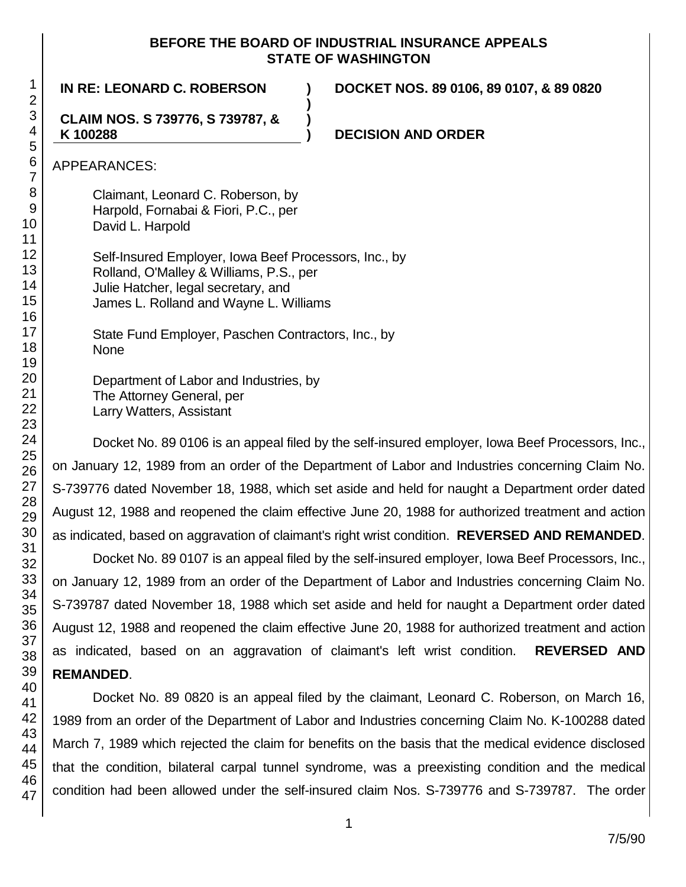## **BEFORE THE BOARD OF INDUSTRIAL INSURANCE APPEALS STATE OF WASHINGTON**

**)**

**)**

**IN RE: LEONARD C. ROBERSON ) DOCKET NOS. 89 0106, 89 0107, & 89 0820**

**CLAIM NOS. S 739776, S 739787, & K 100288**

**) DECISION AND ORDER**

APPEARANCES:

Claimant, Leonard C. Roberson, by Harpold, Fornabai & Fiori, P.C., per David L. Harpold

Self-Insured Employer, Iowa Beef Processors, Inc., by Rolland, O'Malley & Williams, P.S., per Julie Hatcher, legal secretary, and James L. Rolland and Wayne L. Williams

State Fund Employer, Paschen Contractors, Inc., by None

Department of Labor and Industries, by The Attorney General, per Larry Watters, Assistant

Docket No. 89 0106 is an appeal filed by the self-insured employer, Iowa Beef Processors, Inc., on January 12, 1989 from an order of the Department of Labor and Industries concerning Claim No. S-739776 dated November 18, 1988, which set aside and held for naught a Department order dated August 12, 1988 and reopened the claim effective June 20, 1988 for authorized treatment and action as indicated, based on aggravation of claimant's right wrist condition. **REVERSED AND REMANDED**.

Docket No. 89 0107 is an appeal filed by the self-insured employer, Iowa Beef Processors, Inc., on January 12, 1989 from an order of the Department of Labor and Industries concerning Claim No. S-739787 dated November 18, 1988 which set aside and held for naught a Department order dated August 12, 1988 and reopened the claim effective June 20, 1988 for authorized treatment and action as indicated, based on an aggravation of claimant's left wrist condition. **REVERSED AND REMANDED**.

Docket No. 89 0820 is an appeal filed by the claimant, Leonard C. Roberson, on March 16, 1989 from an order of the Department of Labor and Industries concerning Claim No. K-100288 dated March 7, 1989 which rejected the claim for benefits on the basis that the medical evidence disclosed that the condition, bilateral carpal tunnel syndrome, was a preexisting condition and the medical condition had been allowed under the self-insured claim Nos. S-739776 and S-739787. The order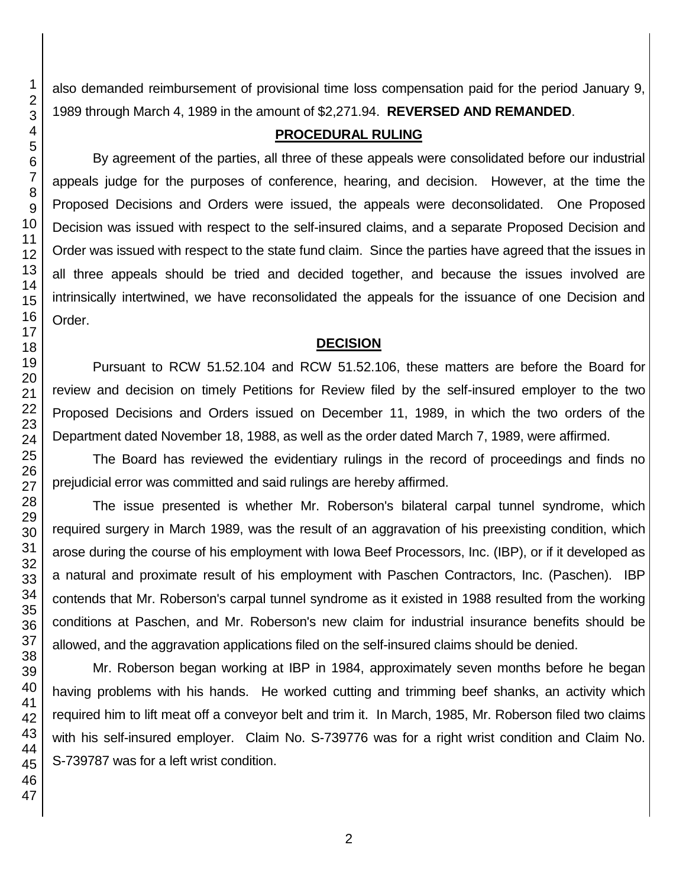also demanded reimbursement of provisional time loss compensation paid for the period January 9, 1989 through March 4, 1989 in the amount of \$2,271.94. **REVERSED AND REMANDED**.

## **PROCEDURAL RULING**

By agreement of the parties, all three of these appeals were consolidated before our industrial appeals judge for the purposes of conference, hearing, and decision. However, at the time the Proposed Decisions and Orders were issued, the appeals were deconsolidated. One Proposed Decision was issued with respect to the self-insured claims, and a separate Proposed Decision and Order was issued with respect to the state fund claim. Since the parties have agreed that the issues in all three appeals should be tried and decided together, and because the issues involved are intrinsically intertwined, we have reconsolidated the appeals for the issuance of one Decision and Order.

## **DECISION**

Pursuant to RCW 51.52.104 and RCW 51.52.106, these matters are before the Board for review and decision on timely Petitions for Review filed by the self-insured employer to the two Proposed Decisions and Orders issued on December 11, 1989, in which the two orders of the Department dated November 18, 1988, as well as the order dated March 7, 1989, were affirmed.

The Board has reviewed the evidentiary rulings in the record of proceedings and finds no prejudicial error was committed and said rulings are hereby affirmed.

The issue presented is whether Mr. Roberson's bilateral carpal tunnel syndrome, which required surgery in March 1989, was the result of an aggravation of his preexisting condition, which arose during the course of his employment with Iowa Beef Processors, Inc. (IBP), or if it developed as a natural and proximate result of his employment with Paschen Contractors, Inc. (Paschen). IBP contends that Mr. Roberson's carpal tunnel syndrome as it existed in 1988 resulted from the working conditions at Paschen, and Mr. Roberson's new claim for industrial insurance benefits should be allowed, and the aggravation applications filed on the self-insured claims should be denied.

Mr. Roberson began working at IBP in 1984, approximately seven months before he began having problems with his hands. He worked cutting and trimming beef shanks, an activity which required him to lift meat off a conveyor belt and trim it. In March, 1985, Mr. Roberson filed two claims with his self-insured employer. Claim No. S-739776 was for a right wrist condition and Claim No. S-739787 was for a left wrist condition.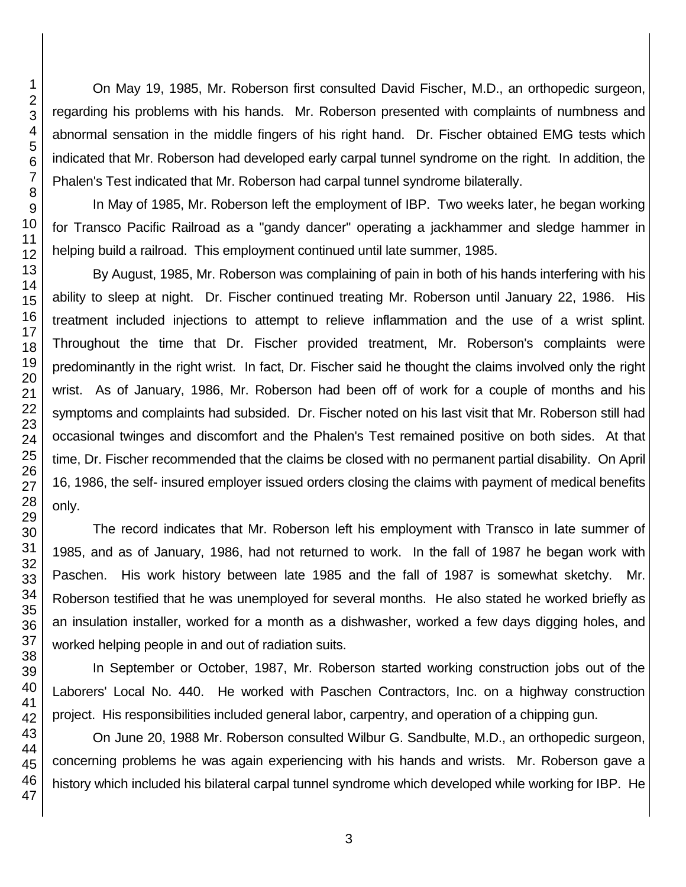On May 19, 1985, Mr. Roberson first consulted David Fischer, M.D., an orthopedic surgeon, regarding his problems with his hands. Mr. Roberson presented with complaints of numbness and abnormal sensation in the middle fingers of his right hand. Dr. Fischer obtained EMG tests which indicated that Mr. Roberson had developed early carpal tunnel syndrome on the right. In addition, the Phalen's Test indicated that Mr. Roberson had carpal tunnel syndrome bilaterally.

In May of 1985, Mr. Roberson left the employment of IBP. Two weeks later, he began working for Transco Pacific Railroad as a "gandy dancer" operating a jackhammer and sledge hammer in helping build a railroad. This employment continued until late summer, 1985.

By August, 1985, Mr. Roberson was complaining of pain in both of his hands interfering with his ability to sleep at night. Dr. Fischer continued treating Mr. Roberson until January 22, 1986. His treatment included injections to attempt to relieve inflammation and the use of a wrist splint. Throughout the time that Dr. Fischer provided treatment, Mr. Roberson's complaints were predominantly in the right wrist. In fact, Dr. Fischer said he thought the claims involved only the right wrist. As of January, 1986, Mr. Roberson had been off of work for a couple of months and his symptoms and complaints had subsided. Dr. Fischer noted on his last visit that Mr. Roberson still had occasional twinges and discomfort and the Phalen's Test remained positive on both sides. At that time, Dr. Fischer recommended that the claims be closed with no permanent partial disability. On April 16, 1986, the self- insured employer issued orders closing the claims with payment of medical benefits only.

The record indicates that Mr. Roberson left his employment with Transco in late summer of 1985, and as of January, 1986, had not returned to work. In the fall of 1987 he began work with Paschen. His work history between late 1985 and the fall of 1987 is somewhat sketchy. Mr. Roberson testified that he was unemployed for several months. He also stated he worked briefly as an insulation installer, worked for a month as a dishwasher, worked a few days digging holes, and worked helping people in and out of radiation suits.

In September or October, 1987, Mr. Roberson started working construction jobs out of the Laborers' Local No. 440. He worked with Paschen Contractors, Inc. on a highway construction project. His responsibilities included general labor, carpentry, and operation of a chipping gun.

On June 20, 1988 Mr. Roberson consulted Wilbur G. Sandbulte, M.D., an orthopedic surgeon, concerning problems he was again experiencing with his hands and wrists. Mr. Roberson gave a history which included his bilateral carpal tunnel syndrome which developed while working for IBP. He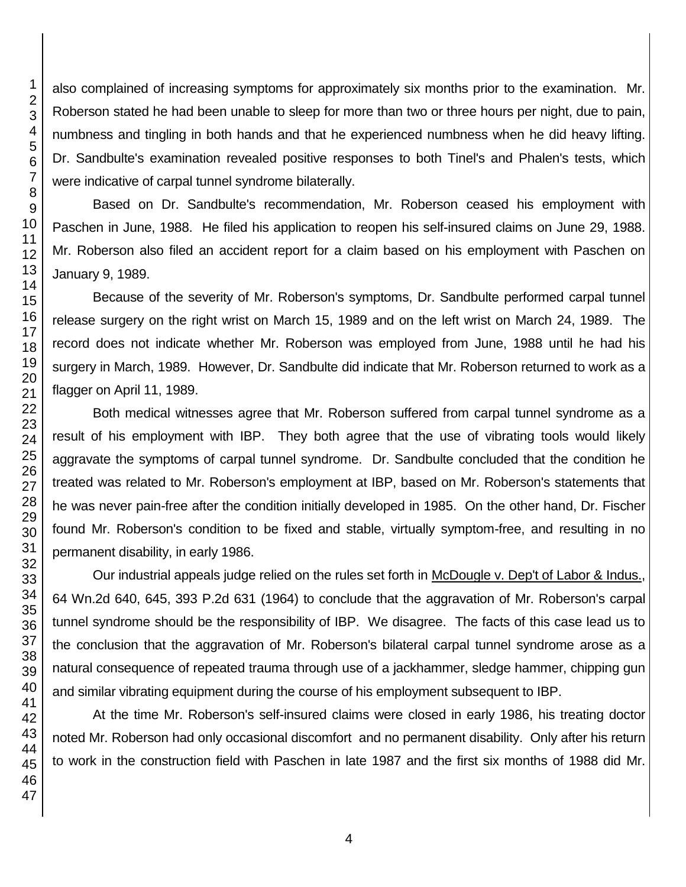also complained of increasing symptoms for approximately six months prior to the examination. Mr. Roberson stated he had been unable to sleep for more than two or three hours per night, due to pain, numbness and tingling in both hands and that he experienced numbness when he did heavy lifting. Dr. Sandbulte's examination revealed positive responses to both Tinel's and Phalen's tests, which were indicative of carpal tunnel syndrome bilaterally.

Based on Dr. Sandbulte's recommendation, Mr. Roberson ceased his employment with Paschen in June, 1988. He filed his application to reopen his self-insured claims on June 29, 1988. Mr. Roberson also filed an accident report for a claim based on his employment with Paschen on January 9, 1989.

Because of the severity of Mr. Roberson's symptoms, Dr. Sandbulte performed carpal tunnel release surgery on the right wrist on March 15, 1989 and on the left wrist on March 24, 1989. The record does not indicate whether Mr. Roberson was employed from June, 1988 until he had his surgery in March, 1989. However, Dr. Sandbulte did indicate that Mr. Roberson returned to work as a flagger on April 11, 1989.

Both medical witnesses agree that Mr. Roberson suffered from carpal tunnel syndrome as a result of his employment with IBP. They both agree that the use of vibrating tools would likely aggravate the symptoms of carpal tunnel syndrome. Dr. Sandbulte concluded that the condition he treated was related to Mr. Roberson's employment at IBP, based on Mr. Roberson's statements that he was never pain-free after the condition initially developed in 1985. On the other hand, Dr. Fischer found Mr. Roberson's condition to be fixed and stable, virtually symptom-free, and resulting in no permanent disability, in early 1986.

Our industrial appeals judge relied on the rules set forth in McDougle v. Dep't of Labor & Indus., 64 Wn.2d 640, 645, 393 P.2d 631 (1964) to conclude that the aggravation of Mr. Roberson's carpal tunnel syndrome should be the responsibility of IBP. We disagree. The facts of this case lead us to the conclusion that the aggravation of Mr. Roberson's bilateral carpal tunnel syndrome arose as a natural consequence of repeated trauma through use of a jackhammer, sledge hammer, chipping gun and similar vibrating equipment during the course of his employment subsequent to IBP.

At the time Mr. Roberson's self-insured claims were closed in early 1986, his treating doctor noted Mr. Roberson had only occasional discomfort and no permanent disability. Only after his return to work in the construction field with Paschen in late 1987 and the first six months of 1988 did Mr.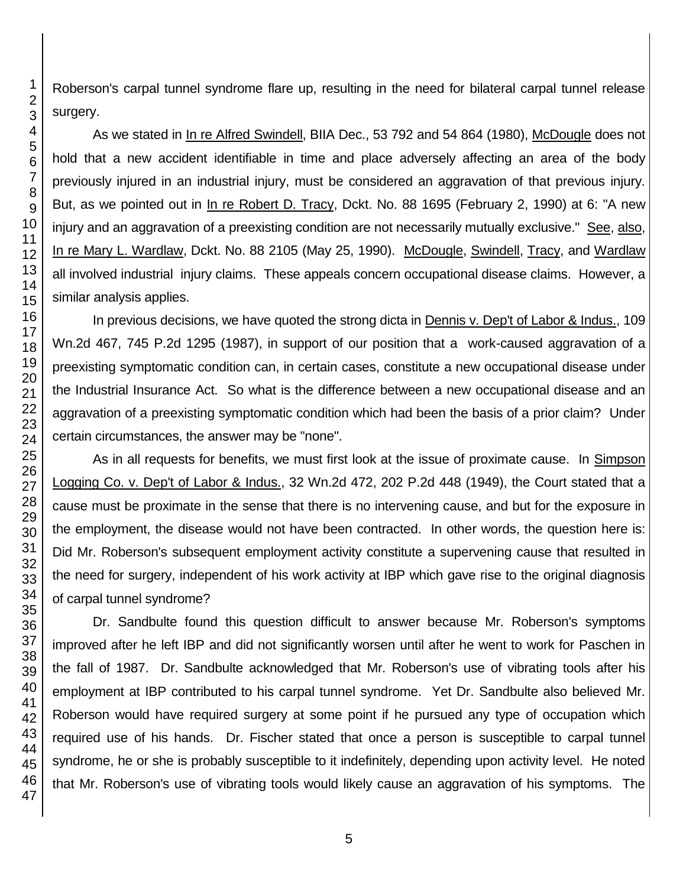Roberson's carpal tunnel syndrome flare up, resulting in the need for bilateral carpal tunnel release

As we stated in In re Alfred Swindell, BIIA Dec., 53 792 and 54 864 (1980), McDougle does not hold that a new accident identifiable in time and place adversely affecting an area of the body previously injured in an industrial injury, must be considered an aggravation of that previous injury. But, as we pointed out in In re Robert D. Tracy, Dckt. No. 88 1695 (February 2, 1990) at 6: "A new injury and an aggravation of a preexisting condition are not necessarily mutually exclusive." See, also, In re Mary L. Wardlaw, Dckt. No. 88 2105 (May 25, 1990). McDougle, Swindell, Tracy, and Wardlaw all involved industrial injury claims. These appeals concern occupational disease claims. However, a similar analysis applies.

In previous decisions, we have quoted the strong dicta in Dennis v. Dep't of Labor & Indus., 109 Wn.2d 467, 745 P.2d 1295 (1987), in support of our position that a work-caused aggravation of a preexisting symptomatic condition can, in certain cases, constitute a new occupational disease under the Industrial Insurance Act. So what is the difference between a new occupational disease and an aggravation of a preexisting symptomatic condition which had been the basis of a prior claim? Under certain circumstances, the answer may be "none".

As in all requests for benefits, we must first look at the issue of proximate cause. In Simpson Logging Co. v. Dep't of Labor & Indus., 32 Wn.2d 472, 202 P.2d 448 (1949), the Court stated that a cause must be proximate in the sense that there is no intervening cause, and but for the exposure in the employment, the disease would not have been contracted. In other words, the question here is: Did Mr. Roberson's subsequent employment activity constitute a supervening cause that resulted in the need for surgery, independent of his work activity at IBP which gave rise to the original diagnosis of carpal tunnel syndrome?

Dr. Sandbulte found this question difficult to answer because Mr. Roberson's symptoms improved after he left IBP and did not significantly worsen until after he went to work for Paschen in the fall of 1987. Dr. Sandbulte acknowledged that Mr. Roberson's use of vibrating tools after his employment at IBP contributed to his carpal tunnel syndrome. Yet Dr. Sandbulte also believed Mr. Roberson would have required surgery at some point if he pursued any type of occupation which required use of his hands. Dr. Fischer stated that once a person is susceptible to carpal tunnel syndrome, he or she is probably susceptible to it indefinitely, depending upon activity level. He noted that Mr. Roberson's use of vibrating tools would likely cause an aggravation of his symptoms. The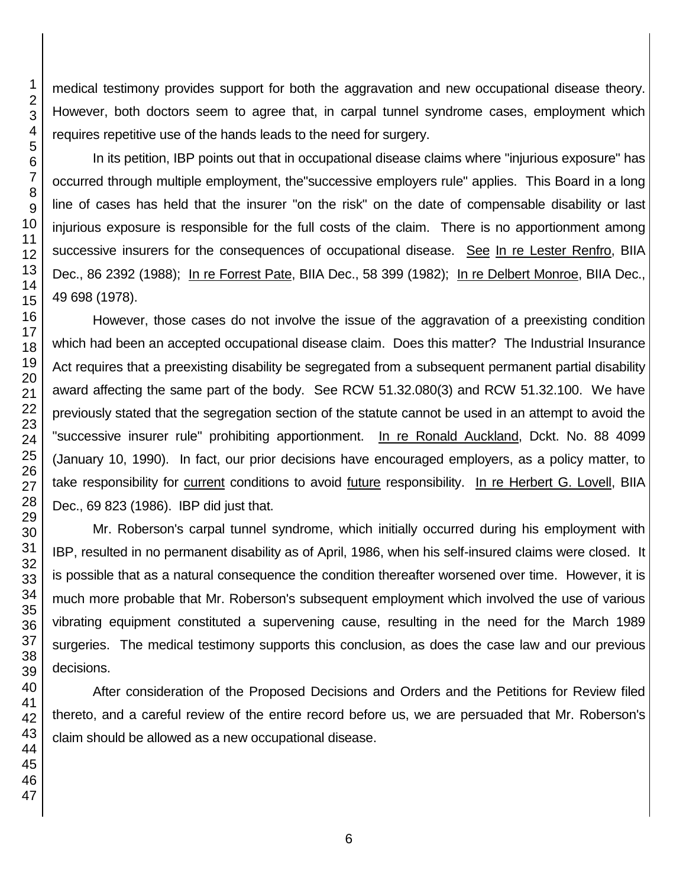medical testimony provides support for both the aggravation and new occupational disease theory. However, both doctors seem to agree that, in carpal tunnel syndrome cases, employment which requires repetitive use of the hands leads to the need for surgery.

In its petition, IBP points out that in occupational disease claims where "injurious exposure" has occurred through multiple employment, the"successive employers rule" applies. This Board in a long line of cases has held that the insurer "on the risk" on the date of compensable disability or last injurious exposure is responsible for the full costs of the claim. There is no apportionment among successive insurers for the consequences of occupational disease. See In re Lester Renfro, BIIA Dec., 86 2392 (1988); In re Forrest Pate, BIIA Dec., 58 399 (1982); In re Delbert Monroe, BIIA Dec., 49 698 (1978).

However, those cases do not involve the issue of the aggravation of a preexisting condition which had been an accepted occupational disease claim. Does this matter? The Industrial Insurance Act requires that a preexisting disability be segregated from a subsequent permanent partial disability award affecting the same part of the body. See RCW 51.32.080(3) and RCW 51.32.100. We have previously stated that the segregation section of the statute cannot be used in an attempt to avoid the "successive insurer rule" prohibiting apportionment. In re Ronald Auckland, Dckt. No. 88 4099 (January 10, 1990). In fact, our prior decisions have encouraged employers, as a policy matter, to take responsibility for current conditions to avoid future responsibility. In re Herbert G. Lovell, BIIA Dec., 69 823 (1986). IBP did just that.

Mr. Roberson's carpal tunnel syndrome, which initially occurred during his employment with IBP, resulted in no permanent disability as of April, 1986, when his self-insured claims were closed. It is possible that as a natural consequence the condition thereafter worsened over time. However, it is much more probable that Mr. Roberson's subsequent employment which involved the use of various vibrating equipment constituted a supervening cause, resulting in the need for the March 1989 surgeries. The medical testimony supports this conclusion, as does the case law and our previous decisions.

After consideration of the Proposed Decisions and Orders and the Petitions for Review filed thereto, and a careful review of the entire record before us, we are persuaded that Mr. Roberson's claim should be allowed as a new occupational disease.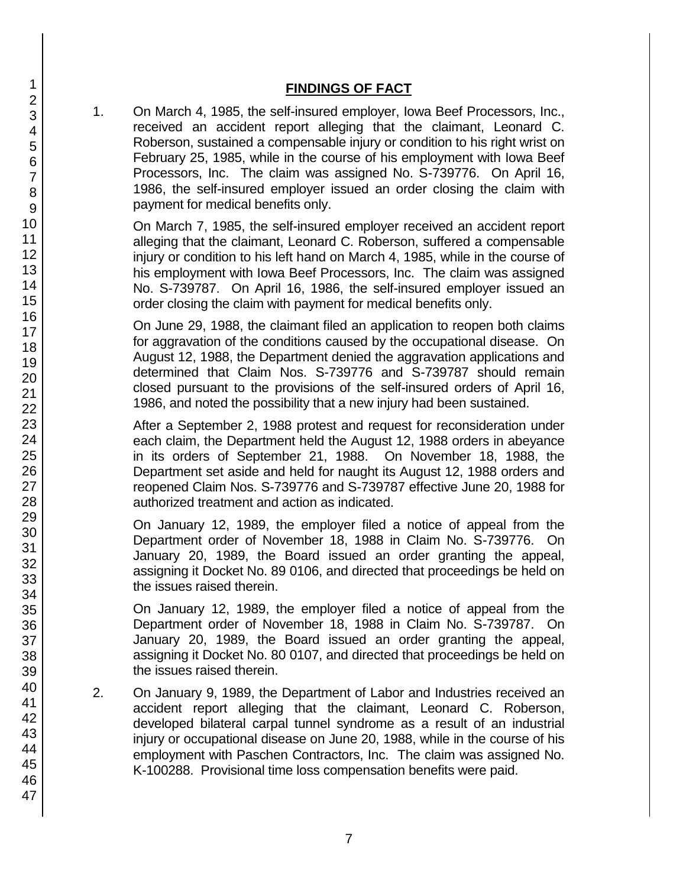## **FINDINGS OF FACT**

1. On March 4, 1985, the self-insured employer, Iowa Beef Processors, Inc., received an accident report alleging that the claimant, Leonard C. Roberson, sustained a compensable injury or condition to his right wrist on February 25, 1985, while in the course of his employment with Iowa Beef Processors, Inc. The claim was assigned No. S-739776. On April 16, 1986, the self-insured employer issued an order closing the claim with payment for medical benefits only.

On March 7, 1985, the self-insured employer received an accident report alleging that the claimant, Leonard C. Roberson, suffered a compensable injury or condition to his left hand on March 4, 1985, while in the course of his employment with Iowa Beef Processors, Inc. The claim was assigned No. S-739787. On April 16, 1986, the self-insured employer issued an order closing the claim with payment for medical benefits only.

On June 29, 1988, the claimant filed an application to reopen both claims for aggravation of the conditions caused by the occupational disease. On August 12, 1988, the Department denied the aggravation applications and determined that Claim Nos. S-739776 and S-739787 should remain closed pursuant to the provisions of the self-insured orders of April 16, 1986, and noted the possibility that a new injury had been sustained.

After a September 2, 1988 protest and request for reconsideration under each claim, the Department held the August 12, 1988 orders in abeyance in its orders of September 21, 1988. On November 18, 1988, the Department set aside and held for naught its August 12, 1988 orders and reopened Claim Nos. S-739776 and S-739787 effective June 20, 1988 for authorized treatment and action as indicated.

On January 12, 1989, the employer filed a notice of appeal from the Department order of November 18, 1988 in Claim No. S-739776. On January 20, 1989, the Board issued an order granting the appeal, assigning it Docket No. 89 0106, and directed that proceedings be held on the issues raised therein.

On January 12, 1989, the employer filed a notice of appeal from the Department order of November 18, 1988 in Claim No. S-739787. On January 20, 1989, the Board issued an order granting the appeal, assigning it Docket No. 80 0107, and directed that proceedings be held on the issues raised therein.

- 2. On January 9, 1989, the Department of Labor and Industries received an accident report alleging that the claimant, Leonard C. Roberson, developed bilateral carpal tunnel syndrome as a result of an industrial injury or occupational disease on June 20, 1988, while in the course of his employment with Paschen Contractors, Inc. The claim was assigned No. K-100288. Provisional time loss compensation benefits were paid.
- 1 2 3 4 5 6 7 8 9 10 11 12 13 14 15 16 17 18 19 20 21 22 23 24 25 26 27 28 29 30 31 32 33 34 35 36 37 38 39 40 41 42 43 44 45 46 47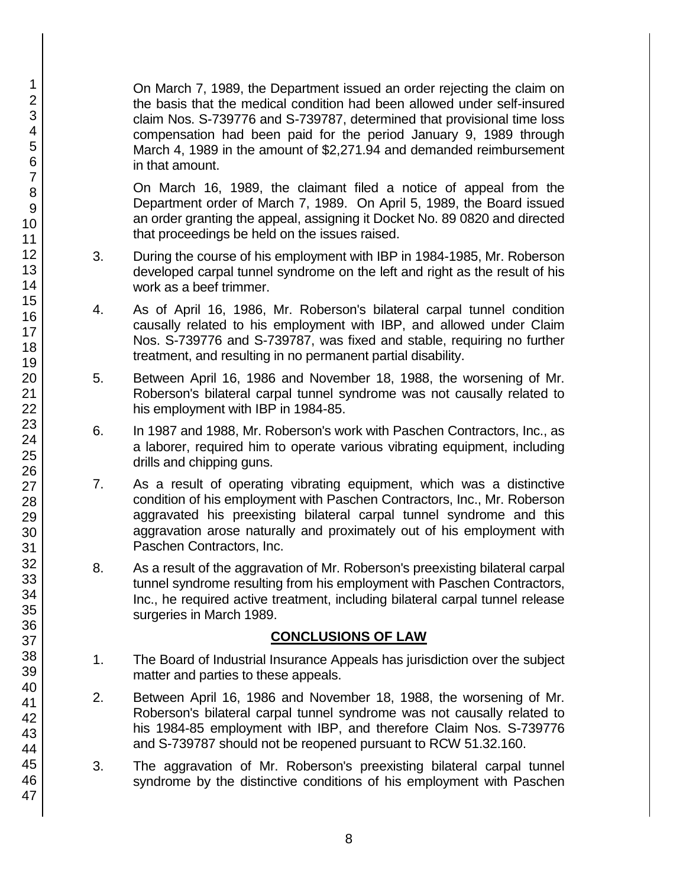On March 7, 1989, the Department issued an order rejecting the claim on the basis that the medical condition had been allowed under self-insured claim Nos. S-739776 and S-739787, determined that provisional time loss compensation had been paid for the period January 9, 1989 through March 4, 1989 in the amount of \$2,271.94 and demanded reimbursement in that amount.

On March 16, 1989, the claimant filed a notice of appeal from the Department order of March 7, 1989. On April 5, 1989, the Board issued an order granting the appeal, assigning it Docket No. 89 0820 and directed that proceedings be held on the issues raised.

- 3. During the course of his employment with IBP in 1984-1985, Mr. Roberson developed carpal tunnel syndrome on the left and right as the result of his work as a beef trimmer.
- 4. As of April 16, 1986, Mr. Roberson's bilateral carpal tunnel condition causally related to his employment with IBP, and allowed under Claim Nos. S-739776 and S-739787, was fixed and stable, requiring no further treatment, and resulting in no permanent partial disability.
- 5. Between April 16, 1986 and November 18, 1988, the worsening of Mr. Roberson's bilateral carpal tunnel syndrome was not causally related to his employment with IBP in 1984-85.
- 6. In 1987 and 1988, Mr. Roberson's work with Paschen Contractors, Inc., as a laborer, required him to operate various vibrating equipment, including drills and chipping guns.
- 7. As a result of operating vibrating equipment, which was a distinctive condition of his employment with Paschen Contractors, Inc., Mr. Roberson aggravated his preexisting bilateral carpal tunnel syndrome and this aggravation arose naturally and proximately out of his employment with Paschen Contractors, Inc.
- 8. As a result of the aggravation of Mr. Roberson's preexisting bilateral carpal tunnel syndrome resulting from his employment with Paschen Contractors, Inc., he required active treatment, including bilateral carpal tunnel release surgeries in March 1989.

# **CONCLUSIONS OF LAW**

- 1. The Board of Industrial Insurance Appeals has jurisdiction over the subject matter and parties to these appeals.
- 2. Between April 16, 1986 and November 18, 1988, the worsening of Mr. Roberson's bilateral carpal tunnel syndrome was not causally related to his 1984-85 employment with IBP, and therefore Claim Nos. S-739776 and S-739787 should not be reopened pursuant to RCW 51.32.160.
- 3. The aggravation of Mr. Roberson's preexisting bilateral carpal tunnel syndrome by the distinctive conditions of his employment with Paschen